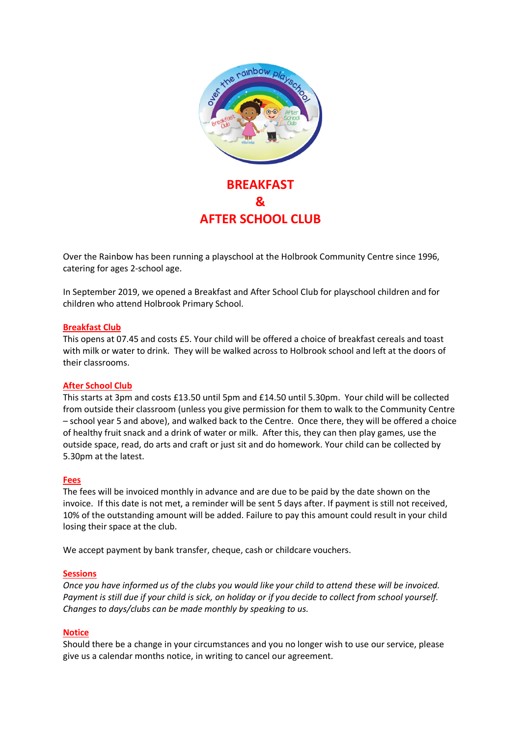

Over the Rainbow has been running a playschool at the Holbrook Community Centre since 1996, catering for ages 2-school age.

In September 2019, we opened a Breakfast and After School Club for playschool children and for children who attend Holbrook Primary School.

#### **Breakfast Club**

This opens at 07.45 and costs £5. Your child will be offered a choice of breakfast cereals and toast with milk or water to drink. They will be walked across to Holbrook school and left at the doors of their classrooms.

# **After School Club**

This starts at 3pm and costs £13.50 until 5pm and £14.50 until 5.30pm. Your child will be collected from outside their classroom (unless you give permission for them to walk to the Community Centre – school year 5 and above), and walked back to the Centre. Once there, they will be offered a choice of healthy fruit snack and a drink of water or milk. After this, they can then play games, use the outside space, read, do arts and craft or just sit and do homework. Your child can be collected by 5.30pm at the latest.

#### **Fees**

The fees will be invoiced monthly in advance and are due to be paid by the date shown on the invoice. If this date is not met, a reminder will be sent 5 days after. If payment is still not received, 10% of the outstanding amount will be added. Failure to pay this amount could result in your child losing their space at the club.

We accept payment by bank transfer, cheque, cash or childcare vouchers.

#### **Sessions**

*Once you have informed us of the clubs you would like your child to attend these will be invoiced. Payment is still due if your child is sick, on holiday or if you decide to collect from school yourself. Changes to days/clubs can be made monthly by speaking to us.* 

#### **Notice**

Should there be a change in your circumstances and you no longer wish to use our service, please give us a calendar months notice, in writing to cancel our agreement.